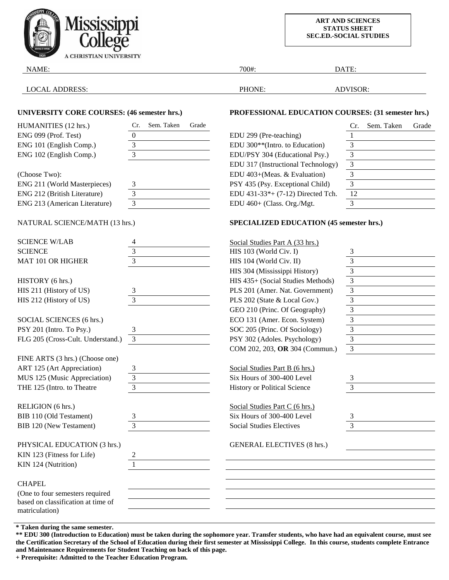

**ART AND SCIENCES STATUS SHEET SEC.ED.-SOCIAL STUDIES**

| NAME:                                                |                            | 700#:                                              | DATE:                      |  |
|------------------------------------------------------|----------------------------|----------------------------------------------------|----------------------------|--|
| <b>LOCAL ADDRESS:</b>                                |                            | PHONE:                                             | ADVISOR:                   |  |
| <b>UNIVERSITY CORE COURSES: (46 semester hrs.)</b>   |                            | PROFESSIONAL EDUCATION COURSES: (31 semester hrs.) |                            |  |
| HUMANITIES (12 hrs.)                                 | Sem. Taken<br>Grade<br>Cr. |                                                    | Sem. Taken<br>Grade<br>Cr. |  |
| ENG 099 (Prof. Test)                                 | 0                          | EDU 299 (Pre-teaching)                             | $\mathbf{1}$               |  |
| ENG 101 (English Comp.)                              | 3                          | EDU 300 <sup>**</sup> (Intro. to Education)        | $\mathfrak{Z}$             |  |
| ENG 102 (English Comp.)                              | 3                          | EDU/PSY 304 (Educational Psy.)                     | $\mathfrak{Z}$             |  |
|                                                      |                            | EDU 317 (Instructional Technology)                 | $\overline{\mathbf{3}}$    |  |
| (Choose Two):                                        |                            | EDU 403+(Meas. & Evaluation)                       | 3                          |  |
| ENG 211 (World Masterpieces)                         | 3                          | PSY 435 (Psy. Exceptional Child)                   | 3                          |  |
| ENG 212 (British Literature)                         | 3                          | EDU 431-33*+ (7-12) Directed Tch.                  | 12                         |  |
| ENG 213 (American Literature)                        | $\mathfrak{Z}$             | EDU 460+ (Class. Org./Mgt.                         | 3                          |  |
| NATURAL SCIENCE/MATH (13 hrs.)                       |                            | <b>SPECIALIZED EDUCATION (45 semester hrs.)</b>    |                            |  |
| <b>SCIENCE W/LAB</b>                                 |                            | Social Studies Part A (33 hrs.)                    |                            |  |
| <b>SCIENCE</b>                                       | 3                          | HIS 103 (World Civ. I)                             | 3                          |  |
| MAT 101 OR HIGHER                                    | $\overline{3}$             | HIS 104 (World Civ. II)                            | 3                          |  |
|                                                      |                            | HIS 304 (Mississippi History)                      | 3                          |  |
| HISTORY (6 hrs.)                                     |                            | HIS 435+ (Social Studies Methods)                  | $\overline{3}$             |  |
| HIS 211 (History of US)                              | 3                          | PLS 201 (Amer. Nat. Government)                    | $\mathfrak{Z}$             |  |
| HIS 212 (History of US)                              | 3                          | PLS 202 (State & Local Gov.)                       | $\overline{3}$             |  |
|                                                      |                            | GEO 210 (Princ. Of Geography)                      | $\overline{3}$             |  |
| SOCIAL SCIENCES (6 hrs.)                             |                            | ECO 131 (Amer. Econ. System)                       | 3                          |  |
| PSY 201 (Intro. To Psy.)                             | 3                          | SOC 205 (Princ. Of Sociology)                      | 3                          |  |
| FLG 205 (Cross-Cult. Understand.)                    | 3                          | PSY 302 (Adoles. Psychology)                       | $\mathfrak{Z}$             |  |
|                                                      |                            | COM 202, 203, OR 304 (Commun.)                     | 3                          |  |
| FINE ARTS (3 hrs.) (Choose one)                      |                            |                                                    |                            |  |
| ART 125 (Art Appreciation)                           | 3                          | Social Studies Part B (6 hrs.)                     |                            |  |
| MUS 125 (Music Appreciation)                         | 3                          | Six Hours of 300-400 Level                         | 3                          |  |
| THE 125 (Intro. to Theatre                           | 3                          | <b>History or Political Science</b>                | $\mathfrak{Z}$             |  |
| RELIGION (6 hrs.)                                    |                            | Social Studies Part C (6 hrs.)                     |                            |  |
| BIB 110 (Old Testament)                              | 3                          | Six Hours of 300-400 Level                         | 3                          |  |
| <b>BIB 120 (New Testament)</b>                       | 3                          | <b>Social Studies Electives</b>                    | 3                          |  |
| PHYSICAL EDUCATION (3 hrs.)                          |                            | <b>GENERAL ELECTIVES (8 hrs.)</b>                  |                            |  |
| KIN 123 (Fitness for Life)                           | 2                          |                                                    |                            |  |
| KIN 124 (Nutrition)                                  | 1                          |                                                    |                            |  |
| <b>CHAPEL</b>                                        |                            |                                                    |                            |  |
| (One to four semesters required                      |                            |                                                    |                            |  |
| based on classification at time of<br>matriculation) |                            |                                                    |                            |  |

**\* Taken during the same semester.**

**\*\* EDU 300 (Introduction to Education) must be taken during the sophomore year. Transfer students, who have had an equivalent course, must see the Certification Secretary of the School of Education during their first semester at Mississippi College. In this course, students complete Entrance and Maintenance Requirements for Student Teaching on back of this page.**

**+ Prerequisite: Admitted to the Teacher Education Program.**